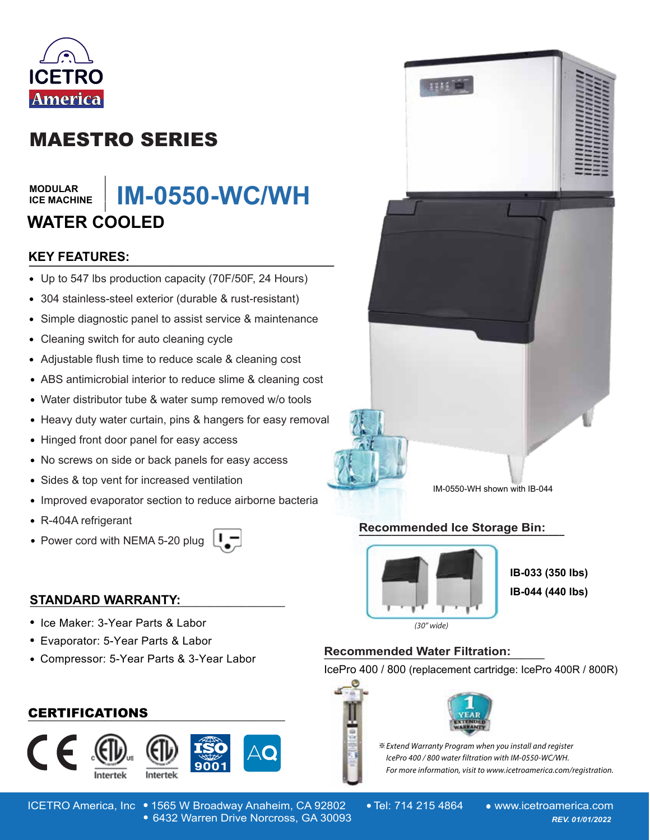

# MAESTRO SERIES

#### **MODULAR ICE MACHINE**

## **\_\_\_\_\_\_\_ IM-0550-WC/WH WATER COOLED**

# **KEY FEATURES: \_\_\_\_\_\_\_\_\_\_\_\_\_\_\_\_\_\_\_\_\_\_\_\_\_\_\_\_\_\_**

- Up to 547 lbs production capacity (70F/50F, 24 Hours)
- 304 stainless-steel exterior (durable & rust-resistant)
- Simple diagnostic panel to assist service & maintenance  $\bullet$
- Cleaning switch for auto cleaning cycle
- Adjustable flush time to reduce scale & cleaning cost
- ABS antimicrobial interior to reduce slime & cleaning cost
- Water distributor tube & water sump removed w/o tools
- Heavy duty water curtain, pins & hangers for easy removal
- Hinged front door panel for easy access
- No screws on side or back panels for easy access  $\bullet$
- Sides & top vent for increased ventilation  $\bullet$
- Improved evaporator section to reduce airborne bacteria  $\bullet$
- R-404A refrigerant
- Power cord with NEMA 5-20 plug

#### **STANDARD WARRANTY: \_\_\_\_\_\_\_\_\_\_\_\_\_\_\_\_\_\_\_\_\_\_\_\_\_\_\_\_\_\_\_\_\_\_\_\_\_\_\_\_**

- Ice Maker: 3-Year Parts & Labor
- Evaporator: 5-Year Parts & Labor
- Compressor: 5-Year Parts & 3-Year Labor

### **\_\_\_\_\_\_\_\_\_\_\_\_\_\_\_\_\_\_\_\_\_\_\_\_\_\_\_\_\_\_\_\_\_\_\_\_\_\_\_\_** CERTIFICATIONS







IM-0550-WH shown with IB-044

#### **Recommended Ice Storage Bin: \_\_\_\_\_\_\_\_\_\_\_\_\_\_\_\_\_\_\_\_\_\_\_\_\_\_\_\_\_\_\_\_\_\_\_\_\_\_**



**IB-033 (350 lbs) IB-044 (440 lbs)**

 $(30"$  wide)

# **Recommended Water Filtration: \_\_\_\_\_\_\_\_\_\_\_\_\_\_\_\_\_\_\_**

IcePro 400 / 800 (replacement cartridge: IcePro 400R / 800R)





※ Extend Warranty Program when you install and register *lcePro 400 / 800 water filtration with IM-0550-WC/WH. -* 

6432 Warren Drive Norcross, GA 30093 *REV. 01/01/2022* 6432 Warren Drive Norcross, GA 30093 *REV. 01/01/2022*